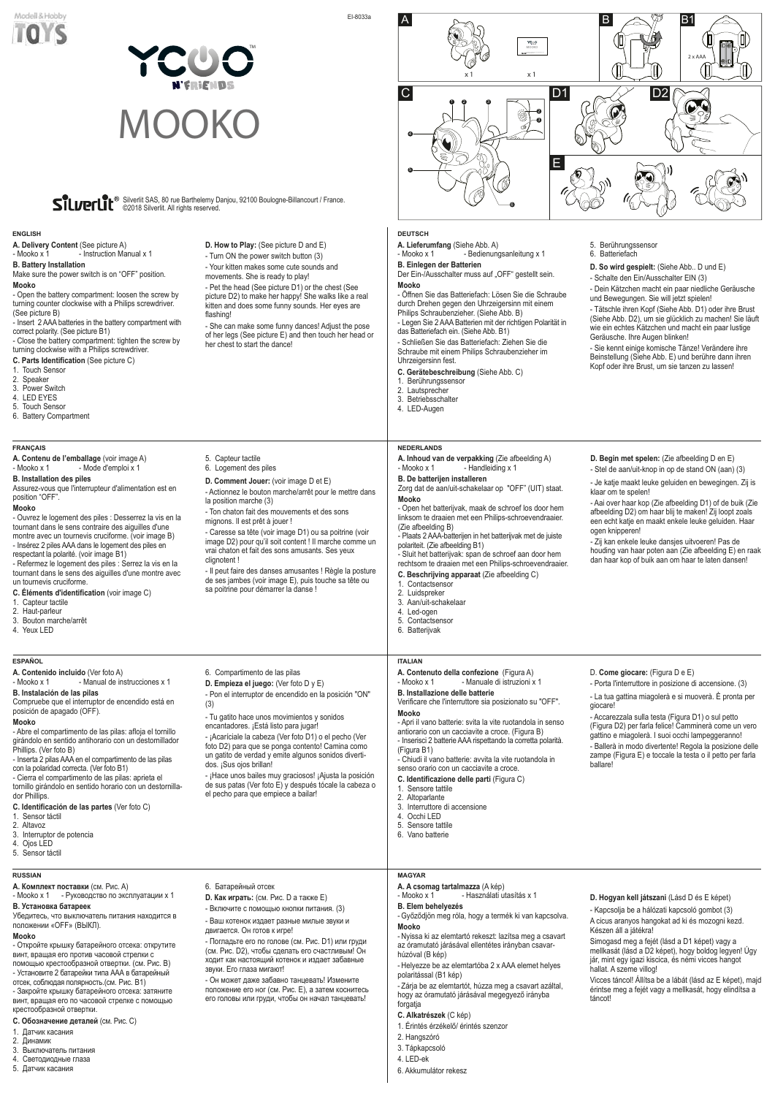#### **A. A csomag tartalmazza** (A kép)

- Mooko x 1 - Használati utasítás x 1

## **B. Elem behelyezés**

- Győződjön meg róla, hogy a termék ki van kapcsolva. **Mooko**

- Nyissa ki az elemtartó rekeszt: lazítsa meg a csavart az óramutató járásával ellentétes irányban csavarhúzóval (B kép)

- Helyezze be az elemtartóba 2 x AAA elemet helyes polaritással (B1 kép)

- Zárja be az elemtartót, húzza meg a csavart azáltal, hogy az óramutató járásával megegyező irányba forgatja

- **C. Alkatrészek** (C kép)
- 1. Érintés érzékelő/ érintés szenzor
- 2. Hangszóró
- 3. Tápkapcsoló
- 4. LED-ek
- 6. Akkumulátor rekesz

#### **D. Hogyan kell játszani** (Lásd D és E képet)

- Kapcsolja be a hálózati kapcsoló gombot (3) A cicus aranyos hangokat ad ki és mozogni kezd. Készen áll a játékra!

Simogasd meg a fejét (lásd a D1 képet) vagy a mellkasát (lásd a D2 képet), hogy boldog legyen! Úgy jár, mint egy igazi kiscica, és némi vicces hangot hallat. A szeme villog!

Vicces táncol! Állítsa be a lábát (lásd az E képet), majd érintse meg a fejét vagy a mellkasát, hogy elindítsa a táncot!

#### **MAGYAR**

#### **A. Комплект поставки** (см. Рис. A)

**A. Delivery Content** (See picture A) - Instruction Manual x 1

- Mooko x 1 - Руководство по эксплуатации x 1

#### **B. Установка батареек**

Убедитесь, что выключатель питания находится в положении «OFF» (ВЫКЛ).

#### **Mooko**

- Откройте крышку батарейного отсека: открутите винт, вращая его против часовой стрелки с помощью крестообразной отвертки. (см. Рис. B) - Установите 2 батарейки типа АAА в батарейный отсек, соблюдая полярность.(см. Рис. B1)

- Закройте крышку батарейного отсека: затяните винт, вращая его по часовой стрелке с помощью крестообразной отвертки.

- **C. Обозначение деталей** (см. Рис. C)
- 1. Датчик касания
- 2. Динамик
- 3. Выключатель питания
- 4. Светодиодные глаза
- 5. Датчик касания

6. Батарейный отсек

**D. Как играть:** (см. Рис. D а также E)

- Включите с помощью кнопки питания. (3)

- Ваш котенок издает разные милые звуки и двигается. Он готов к игре!

- Погладьте его по голове (см. Рис. D1) или груди (см. Рис. D2), чтобы сделать его счастливым! Он ходит как настоящий котенок и издает забавные звуки. Его глаза мигают!

- Он может даже забавно танцевать! Измените положение его ног (см. Рис. Е), а затем коснитесь его головы или груди, чтобы он начал танцевать!

#### **RUSSIAN**

**A. Contenuto della confezione** (Figura A) - Mooko x 1 - Manuale di istruzioni x 1

#### **B. Battery Installation**

Make sure the power switch is on "OFF" position. **Mooko**

- Open the battery compartment: loosen the screw by turning counter clockwise with a Philips screwdriver. (See picture B)

- Insert 2 AAA batteries in the battery compartment with correct polarity. (See picture B1)

- Close the battery compartment: tighten the screw by turning clockwise with a Philips screwdriver.

**C. Parts Identification** (See picture C)

- 1. Touch Sensor
- 2. Speaker
- 3. Power Switch
- 4. LED EYES
- 5. Touch Sensor
- 6. Battery Compartment

**D. How to Play:** (See picture D and E) - Turn ON the power switch button (3) - Your kitten makes some cute sounds and movements. She is ready to play!

- Pet the head (See picture D1) or the chest (See picture D2) to make her happy! She walks like a real kitten and does some funny sounds. Her eyes are

flashing!

- She can make some funny dances! Adjust the pose of her legs (See picture E) and then touch her head or

her chest to start the dance!

#### **ENGLISH**

**A. Contenido incluido** (Ver foto A)

**A. Inhoud van de verpakking** (Zie afbeelding A) - Mooko x 1 - Handleiding x 1 - Handleiding x 1 **NEDERLANDS**

**A. Contenu de l'emballage** (voir image A) - Mooko x 1 - Mode d'emploi x 1

**B. Instalación de las pilas**

Compruebe que el interruptor de encendido está en

posición de apagado (OFF).

**Mooko**

- Abre el compartimento de las pilas: afloja el tornillo girándolo en sentido antihorario con un destornillador

Phillips. (Ver foto B)

- Mooko x 1 - Manual de instrucciones x 1

- Inserta 2 pilas AAA en el compartimento de las pilas

- **C. Identificación de las partes** (Ver foto C)
- 1. Sensor táctil
- 2. Altavoz

3. Interruptor de potencia 4. Ojos LED 5. Sensor táctil

**A. Lieferumfang** (Siehe Abb. A) - Bedienungsanleitung x 1

6. Compartimento de las pilas **D. Empieza el juego:** (Ver foto D y E)

#### **B. Einlegen der Batterien** Der Ein-/Ausschalter muss auf "OFF" gestellt sein.

- Pon el interruptor de encendido en la posición "ON"

con la polaridad correcta. (Ver foto B1) - Cierra el compartimento de las pilas: aprieta el tornillo girándolo en sentido horario con un destornillador Phillips. dos. ¡Sus ojos brillan! - ¡Hace unos bailes muy graciosos! ¡Ajusta la posición de sus patas (Ver foto E) y después tócale la cabeza o el pecho para que empiece a bailar!

(3)

- Tu gatito hace unos movimientos y sonidos encantadores. ¡Está listo para jugar!

- ¡Acaríciale la cabeza (Ver foto D1) o el pecho (Ver foto D2) para que se ponga contento! Camina como un gatito de verdad y emite algunos sonidos diverti-

**ESPAÑOL**

## **B. Installazione delle batterie**

## A  $\beta$  B1 **YCUO**<br>MOOKO 2 x AAA x 1 x 1 C D1  $\sim$  D2 1 2 3  $\boldsymbol{Q}$ Ŵ, 3 4 E 6

Verificare che l'interruttore sia posizionato su "OFF". **Mooko**

- Apri il vano batterie: svita la vite ruotandola in senso antiorario con un cacciavite a croce. (Figura B) - Inserisci 2 batterie AAA rispettando la corretta polarità. (Figura B1)

- Chiudi il vano batterie: avvita la vite ruotandola in senso orario con un cacciavite a croce.

## **C. Identificazione delle parti** (Figura C)

- 1. Sensore tattile
- 3. Interruttore di accensione
- 
- 5. Sensore tattile

2. Altoparlante 4. Occhi LED

6. Vano batterie

D. **Come giocare:** (Figura D e E)

- Porta l'interruttore in posizione di accensione. (3)

- La tua gattina miagolerà e si muoverà. È pronta per giocare!

#### - Accarezzala sulla testa (Figura D1) o sul petto (Figura D2) per farla felice! Camminerà come un vero gattino e miagolerà. I suoi occhi lampeggeranno! - Ballerà in modo divertente! Regola la posizione delle

zampe (Figura E) e toccale la testa o il petto per farla ballare!

### **ITALIAN**

**B. De batterijen installeren**

Zorg dat de aan/uit-schakelaar op "OFF" (UIT) staat. **Mooko**

- Open het batterijvak, maak de schroef los door hem linksom te draaien met een Philips-schroevendraaier.

(Zie afbeelding B) - Plaats 2 AAA-batterijen in het batterijvak met de juiste polariteit. (Zie afbeelding B1)

- Sluit het batterijvak: span de schroef aan door hem rechtsom te draaien met een Philips-schroevendraaier.

- **C. Beschrijving apparaat** (Zie afbeelding C)
- 1. Contactsensor
- 2. Luidspreker<br>3. Aan/uit-scha
- 3. Aan/uit-schakelaar<br>4. Led-ogen 4. Led-ogen
- 5. Contactsensor
- 6. Batterijvak
- 

**D. Begin met spelen:** (Zie afbeelding D en E) - Stel de aan/uit-knop in op de stand ON (aan) (3)

- Je katje maakt leuke geluiden en bewegingen. Zij is klaar om te spelen!

- Aai over haar kop (Zie afbeelding D1) of de buik (Zie afbeelding D2) om haar blij te maken! Zij loopt zoals een echt katje en maakt enkele leuke geluiden. Haar ogen knipperen!

- Zij kan enkele leuke dansjes uitvoeren! Pas de houding van haar poten aan (Zie afbeelding E) en raak dan haar kop of buik aan om haar te laten dansen!

#### **B. Installation des piles**

Assurez-vous que l'interrupteur d'alimentation est en position "OFF".

#### **Mooko**

- Ouvrez le logement des piles : Desserrez la vis en la tournant dans le sens contraire des aiguilles d'une montre avec un tournevis cruciforme. (voir image B) - Insérez 2 piles AAA dans le logement des piles en

respectant la polarité. (voir image B1) - Refermez le logement des piles : Serrez la vis en la tournant dans le sens des aiguilles d'une montre avec un tournevis cruciforme.

**C. Éléments d'identification** (voir image C)

- 1. Capteur tactile
- 2. Haut-parleur
- 3. Bouton marche/arrêt
- 4. Yeux LED
- 

5. Capteur tactile 6. Logement des piles

**D. Comment Jouer:** (voir image D et E)

- Actionnez le bouton marche/arrêt pour le mettre dans

la position marche (3)

- Ton chaton fait des mouvements et des sons

mignons. Il est prêt à jouer !

- Caresse sa tête (voir image D1) ou sa poitrine (voir image D2) pour qu'il soit content ! Il marche comme un

vrai chaton et fait des sons amusants. Ses yeux clignotent !

> - Il peut faire des danses amusantes ! Règle la posture de ses jambes (voir image E), puis touche sa tête ou sa poitrine pour démarrer la danse !

#### **FRANÇAIS**

**Mooko**

- Öffnen Sie das Batteriefach: Lösen Sie die Schraube durch Drehen gegen den Uhrzeigersinn mit einem Philips Schraubenzieher. (Siehe Abb. B)

- Legen Sie 2 AAA Batterien mit der richtigen Polarität in das Batteriefach ein. (Siehe Abb. B1)

- Schließen Sie das Batteriefach: Ziehen Sie die Schraube mit einem Philips Schraubenzieher im Uhrzeigersinn fest.

## **C. Gerätebeschreibung** (Siehe Abb. C)

- 1. Berührungssensor
- 2. Lautsprecher
- 3. Betriebsschalter
- 4. LED-Augen

- 5. Berührungssensor 6. Batteriefach
	- **D. So wird gespielt:** (Siehe Abb.. D und E)
	- Schalte den Ein/Ausschalter EIN (3)
	- Dein Kätzchen macht ein paar niedliche Geräusche und Bewegungen. Sie will jetzt spielen!

- Tätschle ihren Kopf (Siehe Abb. D1) oder ihre Brust (Siehe Abb. D2), um sie glücklich zu machen! Sie läuft wie ein echtes Kätzchen und macht ein paar lustige Geräusche. Ihre Augen blinken!

- Sie kennt einige komische Tänze! Verändere ihre Beinstellung (Siehe Abb. E) und berühre dann ihren Kopf oder ihre Brust, um sie tanzen zu lassen!

#### **DEUTSCH**

EI-8033a



# 5

## MOOKO